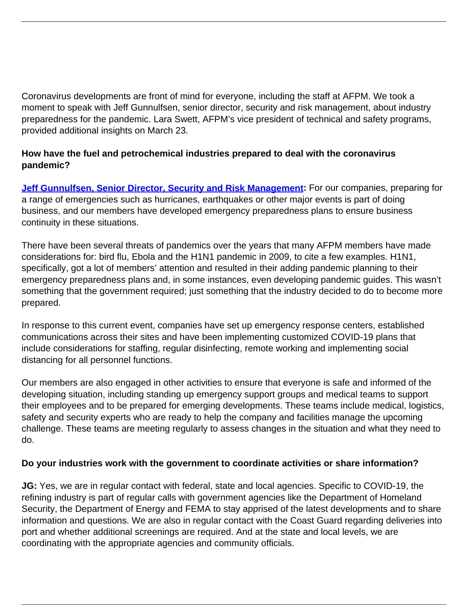Coronavirus developments are front of mind for everyone, including the staff at AFPM. We took a moment to speak with Jeff Gunnulfsen, senior director, security and risk management, about industry preparedness for the pandemic. Lara Swett, AFPM's vice president of technical and safety programs, provided additional insights on March 23.

## **How have the fuel and petrochemical industries prepared to deal with the coronavirus pandemic?**

**Jeff Gunnulfsen, Senior Director, Security and Risk Management:** For our companies, preparing for a range of emergencies such as hurricanes, earthquakes or other major events is part of doing business, and our members have developed emergency preparedness plans to ensure business continuity in these situations.

There have been several threats of pandemics over the years that many AFPM members have made considerations for: bird flu, Ebola and the H1N1 pandemic in 2009, to cite a few examples. H1N1, specifically, got a lot of members' attention and resulted in their adding pandemic planning to their emergency preparedness plans and, in some instances, even developing pandemic guides. This wasn't something that the government required; just something that the industry decided to do to become more prepared.

In response to this current event, companies have set up emergency response centers, established communications across their sites and have been implementing customized COVID-19 plans that include considerations for staffing, regular disinfecting, remote working and implementing social distancing for all personnel functions.

Our members are also engaged in other activities to ensure that everyone is safe and informed of the developing situation, including standing up emergency support groups and medical teams to support their employees and to be prepared for emerging developments. These teams include medical, logistics, safety and security experts who are ready to help the company and facilities manage the upcoming challenge. These teams are meeting regularly to assess changes in the situation and what they need to do.

## **Do your industries work with the government to coordinate activities or share information?**

**JG:** Yes, we are in regular contact with federal, state and local agencies. Specific to COVID-19, the refining industry is part of regular calls with government agencies like the Department of Homeland Security, the Department of Energy and FEMA to stay apprised of the latest developments and to share information and questions. We are also in regular contact with the Coast Guard regarding deliveries into port and whether additional screenings are required. And at the state and local levels, we are coordinating with the appropriate agencies and community officials.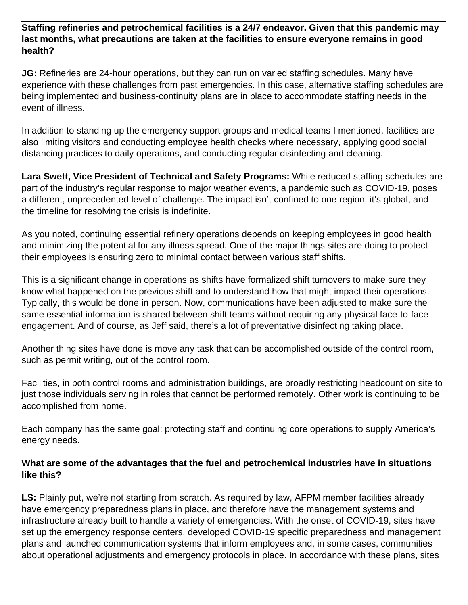**Staffing refineries and petrochemical facilities is a 24/7 endeavor. Given that this pandemic may last months, what precautions are taken at the facilities to ensure everyone remains in good health?**

**JG:** Refineries are 24-hour operations, but they can run on varied staffing schedules. Many have experience with these challenges from past emergencies. In this case, alternative staffing schedules are being implemented and business-continuity plans are in place to accommodate staffing needs in the event of illness.

In addition to standing up the emergency support groups and medical teams I mentioned, facilities are also limiting visitors and conducting employee health checks where necessary, applying good social distancing practices to daily operations, and conducting regular disinfecting and cleaning.

**Lara Swett, Vice President of Technical and Safety Programs:** While reduced staffing schedules are part of the industry's regular response to major weather events, a pandemic such as COVID-19, poses a different, unprecedented level of challenge. The impact isn't confined to one region, it's global, and the timeline for resolving the crisis is indefinite.

As you noted, continuing essential refinery operations depends on keeping employees in good health and minimizing the potential for any illness spread. One of the major things sites are doing to protect their employees is ensuring zero to minimal contact between various staff shifts.

This is a significant change in operations as shifts have formalized shift turnovers to make sure they know what happened on the previous shift and to understand how that might impact their operations. Typically, this would be done in person. Now, communications have been adjusted to make sure the same essential information is shared between shift teams without requiring any physical face-to-face engagement. And of course, as Jeff said, there's a lot of preventative disinfecting taking place.

Another thing sites have done is move any task that can be accomplished outside of the control room, such as permit writing, out of the control room.

Facilities, in both control rooms and administration buildings, are broadly restricting headcount on site to just those individuals serving in roles that cannot be performed remotely. Other work is continuing to be accomplished from home.

Each company has the same goal: protecting staff and continuing core operations to supply America's energy needs.

## **What are some of the advantages that the fuel and petrochemical industries have in situations like this?**

**LS:** Plainly put, we're not starting from scratch. As required by law, AFPM member facilities already have emergency preparedness plans in place, and therefore have the management systems and infrastructure already built to handle a variety of emergencies. With the onset of COVID-19, sites have set up the emergency response centers, developed COVID-19 specific preparedness and management plans and launched communication systems that inform employees and, in some cases, communities about operational adjustments and emergency protocols in place. In accordance with these plans, sites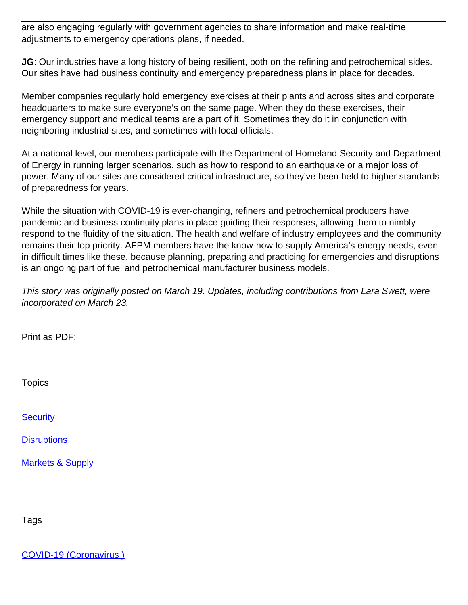are also engaging regularly with government agencies to share information and make real-time adjustments to emergency operations plans, if needed.

**JG**: Our industries have a long history of being resilient, both on the refining and petrochemical sides. Our sites have had business continuity and emergency preparedness plans in place for decades.

Member companies regularly hold emergency exercises at their plants and across sites and corporate headquarters to make sure everyone's on the same page. When they do these exercises, their emergency support and medical teams are a part of it. Sometimes they do it in conjunction with neighboring industrial sites, and sometimes with local officials.

At a national level, our members participate with the Department of Homeland Security and Department of Energy in running larger scenarios, such as how to respond to an earthquake or a major loss of power. Many of our sites are considered critical infrastructure, so they've been held to higher standards of preparedness for years.

While the situation with COVID-19 is ever-changing, refiners and petrochemical producers have pandemic and business continuity plans in place guiding their responses, allowing them to nimbly respond to the fluidity of the situation. The health and welfare of industry employees and the community remains their top priority. AFPM members have the know-how to supply America's energy needs, even in difficult times like these, because planning, preparing and practicing for emergencies and disruptions is an ongoing part of fuel and petrochemical manufacturer business models.

This story was originally posted on March 19. Updates, including contributions from Lara Swett, were incorporated on March 23.

Print as PDF:

Topics

**[Security](/topic/security)** 

**[Disruptions](/topic/disruptions)** 

[Markets & Supply](/topic/markets-supply)

Tags

[COVID-19 \(Coronavirus \)](/tag/covid-19-coronavirus)